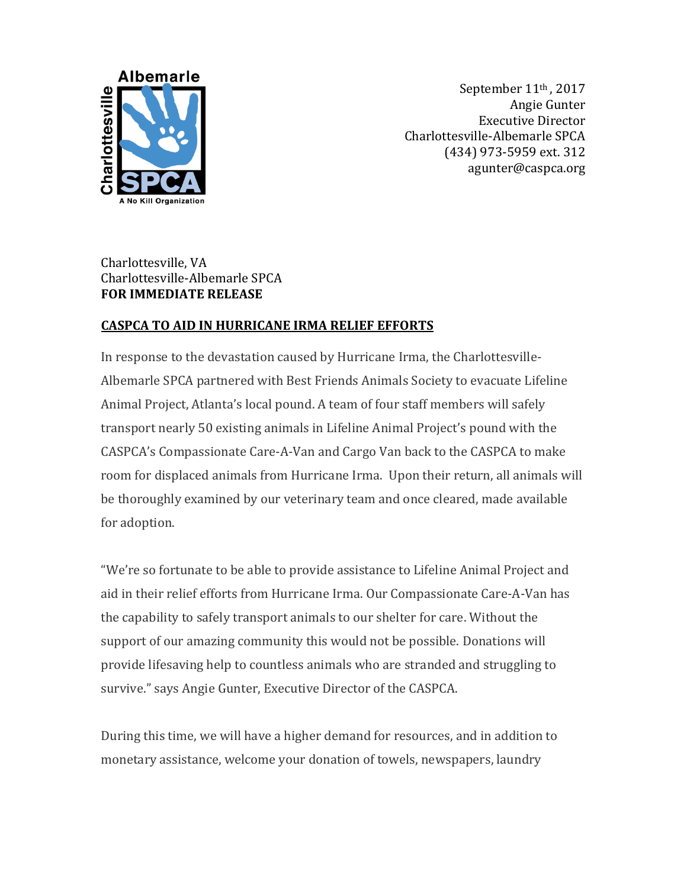

September 11<sup>th</sup>, 2017 Angie Gunter Executive Director Charlottesville-Albemarle SPCA (434) 973-5959 ext. 312 agunter@caspca.org

## Charlottesville, VA Charlottesville-Albemarle SPCA **FOR IMMEDIATE RELEASE**

## **CASPCA TO AID IN HURRICANE IRMA RELIEF EFFORTS**

In response to the devastation caused by Hurricane Irma, the Charlottesville-Albemarle SPCA partnered with Best Friends Animals Society to evacuate Lifeline Animal Project, Atlanta's local pound. A team of four staff members will safely transport nearly 50 existing animals in Lifeline Animal Project's pound with the CASPCA's Compassionate Care-A-Van and Cargo Van back to the CASPCA to make room for displaced animals from Hurricane Irma. Upon their return, all animals will be thoroughly examined by our veterinary team and once cleared, made available for adoption.

"We're so fortunate to be able to provide assistance to Lifeline Animal Project and aid in their relief efforts from Hurricane Irma. Our Compassionate Care-A-Van has the capability to safely transport animals to our shelter for care. Without the support of our amazing community this would not be possible. Donations will provide lifesaving help to countless animals who are stranded and struggling to survive." says Angie Gunter, Executive Director of the CASPCA.

During this time, we will have a higher demand for resources, and in addition to monetary assistance, welcome your donation of towels, newspapers, laundry